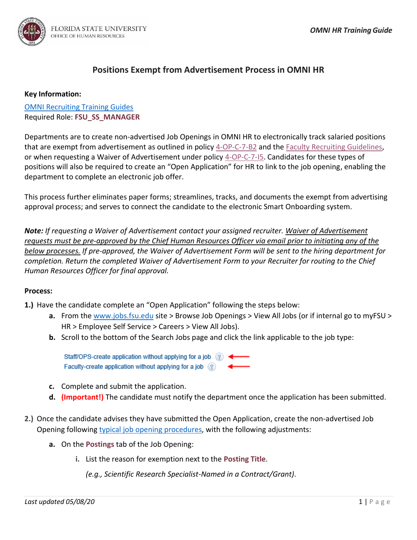

## **Positions Exempt from Advertisement Process in OMNI HR**

## **Key Information:**

[OMNI Recruiting Training Guides](http://hr.fsu.edu/?page=training/training_omni) Required Role: **FSU\_SS\_MANAGER**

Departments are to create non-advertised Job Openings in OMNI HR to electronically track salaried positions that are exempt from advertisement as outlined in policy [4-OP-C-7-B2](http://policies.vpfa.fsu.edu/policies-and-procedures/faculty-staff/employment-and-recruitment#4-OP-C-7-B1) and the [Faculty Recruiting](https://hr.fsu.edu/?page=ers/ers_faculty_recruiting_guidelines) Guidelines, or when requesting a Waiver of Advertisement under policy 4-OP-C-7-15. Candidates for these types of positions will also be required to create an "Open Application" for HR to link to the job opening, enabling the department to complete an electronic job offer.

This process further eliminates paper forms; streamlines, tracks, and documents the exempt from advertising approval process; and serves to connect the candidate to the electronic Smart Onboarding system.

*Note: If requesting a Waiver of Advertisement contact your assigned recruiter. Waiver of Advertisement requests must be pre-approved by the Chief Human Resources Officer via email prior to initiating any of the below processes. If pre-approved, the Waiver of Advertisement Form will be sent to the hiring department for completion. Return the completed Waiver of Advertisement Form to your Recruiter for routing to the Chief Human Resources Officer for final approval.*

## **Process:**

- **1.)** Have the candidate complete an "Open Application" following the steps below:
	- **a.** From the [www.jobs.fsu.edu](http://www.jobs.fsu.edu/) site > Browse Job Openings > View All Jobs (or if internal go to myFSU > HR > Employee Self Service > Careers > View All Jobs).
	- **b.** Scroll to the bottom of the Search Jobs page and click the link applicable to the job type:

Staff/OPS-create application without applying for a job  $\binom{2}{1}$ Faculty-create application without applying for a job (?)

- **c.** Complete and submit the application.
- **d. (Important!)** The candidate must notify the department once the application has been submitted.
- **2.)** Once the candidate advises they have submitted the Open Application, create the non-advertised Job Opening following [typical job opening procedures,](https://hr.fsu.edu/PDF/publications/training/CreatingaJobOpening.pdf) with the following adjustments:
	- **a.** On the **Postings** tab of the Job Opening:
		- **i.** List the reason for exemption next to the **Posting Title**.

*(e.g., Scientific Research Specialist-Named in a Contract/Grant)*.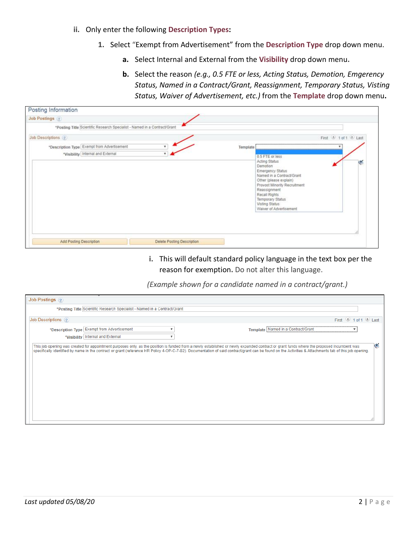- **ii.** Only enter the following **Description Types:**
	- **1.** Select "Exempt from Advertisement" from the **Description Type** drop down menu.
		- **a.** Select Internal and External from the **Visibility** drop down menu**.**
		- **b.** Select the reason *(e.g., 0.5 FTE or less, Acting Status, Demotion, Emgerency Status, Named in a Contract/Grant, Reassignment, Temporary Status, Visting Status, Waiver of Advertisement, etc.)* from the **Template** drop down menu**.**

| <b>Job Postings</b> (?)                                                          |                            |                                                                                                                                                                               |                                                                                      |
|----------------------------------------------------------------------------------|----------------------------|-------------------------------------------------------------------------------------------------------------------------------------------------------------------------------|--------------------------------------------------------------------------------------|
| *Posting Title Scientific Research Specialist - Named in a Contract/Grant        |                            |                                                                                                                                                                               |                                                                                      |
| Job Descriptions (?)                                                             |                            |                                                                                                                                                                               | First 1 tot1 Last                                                                    |
| *Description Type Exempt from Advertisement<br>*Visibility Internal and External | $\mathbf{v}$<br>$\cdot$    | Template<br>0.5 FTE or less<br>Acting Status<br>Demotion<br>Emergency Status<br>Other (please explain)<br>Reassignment<br>Recall Rights<br>Temporary Status<br>Visting Status | Named in a Contract/Grant<br>Provost Minority Recruitment<br>Waiver of Advertisement |
| Add Posting Description                                                          | Delete Posting Description |                                                                                                                                                                               |                                                                                      |

## **i.** This will default standard policy language in the text box per the reason for exemption**.** Do not alter this language.

*(Example shown for a candidate named in a contract/grant.)*

| Job Postings ?       |                                                                                    |              |                                                                                                                                                                                                                                                                                                                                                                                                          |
|----------------------|------------------------------------------------------------------------------------|--------------|----------------------------------------------------------------------------------------------------------------------------------------------------------------------------------------------------------------------------------------------------------------------------------------------------------------------------------------------------------------------------------------------------------|
|                      | *Posting Title Scientific Research Specialist - Named in a Contract/Grant          |              |                                                                                                                                                                                                                                                                                                                                                                                                          |
| Job Descriptions (?) |                                                                                    |              | First 1 of 1 Last                                                                                                                                                                                                                                                                                                                                                                                        |
|                      | *Description Type Exempt from Advertisement<br>*Visibility   Internal and External | $\mathbf{v}$ | Template Named in a Contract/Grant                                                                                                                                                                                                                                                                                                                                                                       |
|                      |                                                                                    |              | G<br>This job opening was created for appointment purposes only, as the position is funded from a newly established or newly expanded contract or grant funds where the proposed incumbent was<br>specifically identified by name in the contract or grant (reference HR Policy 4-OP-C-7-B2). Documentation of said contract/grant can be found on the Activities & Attachments tab of this job opening. |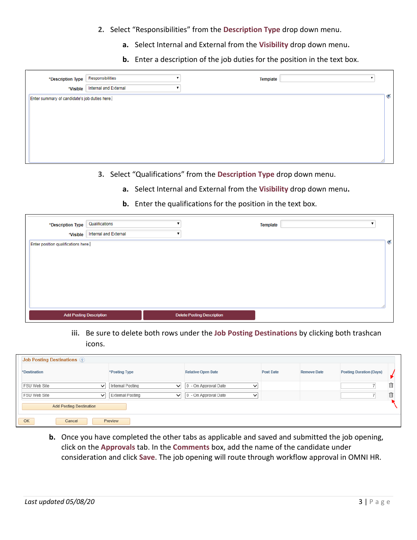- **2.** Select "Responsibilities" from the **Description Type** drop down menu.
	- **a.** Select Internal and External from the **Visibility** drop down menu**.**
	- **b.** Enter a description of the job duties for the position in the text box.

| *Description Type                             | Responsibilities      | <b>Template</b> |   |
|-----------------------------------------------|-----------------------|-----------------|---|
| *Visible                                      | Internal and External |                 |   |
| Enter summary of candidate's job duties here. |                       |                 | 寥 |
|                                               |                       |                 |   |
|                                               |                       |                 |   |
|                                               |                       |                 |   |
|                                               |                       |                 |   |
|                                               |                       |                 |   |
|                                               |                       |                 |   |

- **3.** Select "Qualifications" from the **Description Type** drop down menu.
	- **a.** Select Internal and External from the **Visibility** drop down menu**.**
	- **b.** Enter the qualifications for the position in the text box.

| *Description Type                               | Qualifications<br>Internal and External |                                   | <b>Template</b> |                             |
|-------------------------------------------------|-----------------------------------------|-----------------------------------|-----------------|-----------------------------|
| *Visible<br>Enter position qualifications here. |                                         |                                   |                 | $\mathcal{L}_{\mathcal{L}}$ |
|                                                 |                                         |                                   |                 |                             |
|                                                 |                                         |                                   |                 |                             |
|                                                 |                                         |                                   |                 |                             |
|                                                 |                                         |                                   |                 |                             |
|                                                 |                                         |                                   |                 |                             |
| <b>Add Posting Description</b>                  |                                         | <b>Delete Posting Description</b> |                 |                             |

**iii.** Be sure to delete both rows under the **Job Posting Destinations** by clicking both trashcan icons.

| <b>Job Posting Destinations (?)</b> |                       |                                     |                  |                    |                                |   |
|-------------------------------------|-----------------------|-------------------------------------|------------------|--------------------|--------------------------------|---|
| *Destination                        | *Posting Type         | <b>Relative Open Date</b>           | <b>Post Date</b> | <b>Remove Date</b> | <b>Posting Duration (Days)</b> |   |
| <b>FSU Web Site</b><br>$\check{ }$  | Internal Posting<br>◡ | 0 - On Approval Date<br>$\check{ }$ |                  |                    |                                | 侖 |
| <b>FSU Web Site</b><br>$\check{ }$  | External Posting<br>◡ | 0 - On Approval Date<br>$\check{ }$ |                  |                    |                                | 命 |
| <b>Add Posting Destination</b>      |                       |                                     |                  |                    |                                |   |
| OK<br>Cancel                        | Preview               |                                     |                  |                    |                                |   |

**b.** Once you have completed the other tabs as applicable and saved and submitted the job opening, click on the **Approvals** tab. In the **Comments** box, add the name of the candidate under consideration and click **Save**. The job opening will route through workflow approval in OMNI HR.